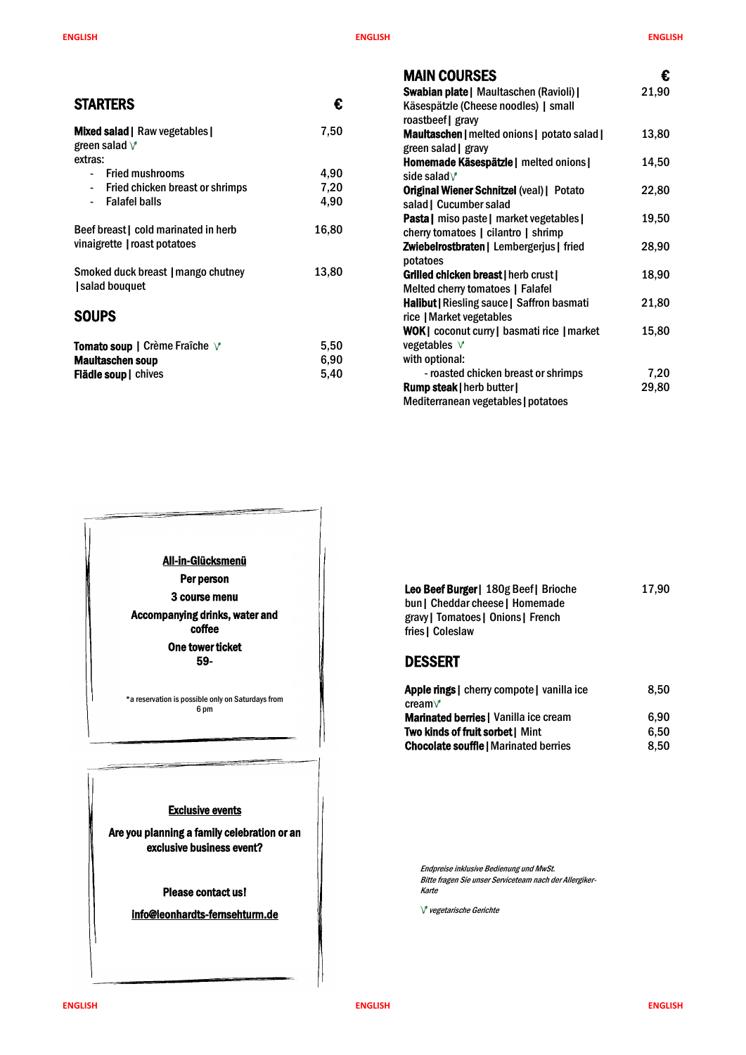**ENGLISH ENGLISH ENGLISH**



| <b>MAIN COURSES</b>                               | €     |
|---------------------------------------------------|-------|
| Swabian plate   Maultaschen (Ravioli)             | 21,90 |
| Käsespätzle (Cheese noodles)   small              |       |
| roastbeef   gravy                                 |       |
| <b>Maultaschen</b>   melted onions   potato salad | 13,80 |
| green salad   gravy                               |       |
| Homemade Käsespätzle   melted onions              | 14,50 |
| side salad $\sqrt{ }$                             |       |
| <b>Original Wiener Schnitzel (veal)   Potato</b>  | 22,80 |
| salad   Cucumber salad                            |       |
| Pasta   miso paste   market vegetables            | 19,50 |
| cherry tomatoes   cilantro   shrimp               |       |
| Zwiebelrostbraten   Lembergerjus   fried          | 28,90 |
| potatoes                                          |       |
| Grilled chicken breast   herb crust               | 18,90 |
| Melted cherry tomatoes   Falafel                  |       |
| <b>Halibut   Riesling sauce   Saffron basmati</b> | 21,80 |
| rice   Market vegetables                          |       |
| WOK   coconut curry   basmati rice   market       | 15,80 |
| vegetables V                                      |       |
| with optional:                                    |       |
| - roasted chicken breast or shrimps               | 7,20  |
| <b>Rump steak   herb butter  </b>                 | 29,80 |
| Mediterranean vegetables   potatoes               |       |

|                                                                            |       | IIIAII V                                    |
|----------------------------------------------------------------------------|-------|---------------------------------------------|
| <b>STARTERS</b>                                                            | €     | Swabian I<br>Käsespät                       |
|                                                                            |       | roastbeef                                   |
| <b>Mixed salad   Raw vegetables  </b><br>green salad $\sqrt{ }$<br>extras: | 7,50  | <b>Maultascl</b><br>green sala<br>Homemad   |
| <b>Fried mushrooms</b>                                                     | 4,90  | side salad                                  |
| Fried chicken breast or shrimps<br>$\blacksquare$                          | 7,20  | <b>Original W</b>                           |
| <b>Falafel balls</b>                                                       | 4,90  | salad   Cu                                  |
| Beef breast   cold marinated in herb<br>vinaigrette   roast potatoes       | 16,80 | Pasta   m<br>cherry ton<br><b>Zwiebelro</b> |
| Smoked duck breast   mango chutney<br>salad bouquet                        | 13,80 | potatoes<br><b>Grilled ch</b><br>Melted ch  |
| <b>SOUPS</b>                                                               |       | Halibut   R<br>rice   Mar<br>WOK   COO      |
| <b>Tomato soup   Crème Fraîche √</b>                                       | 5,50  | vegetable                                   |
| <b>Maultaschen soup</b>                                                    | 6,90  | with optio                                  |
| <b>Flädle soup</b>   chives                                                | 5,40  | - roas                                      |
|                                                                            |       | Rumn ste                                    |

| Leo Beef Burger   180g Beef   Brioche | 17,90 |
|---------------------------------------|-------|
| bun   Cheddar cheese   Homemade       |       |
| gravy   Tomatoes   Onions   French    |       |
| fries   Coleslaw                      |       |
|                                       |       |

# DESSERT

| Apple rings   cherry compote   vanilla ice   | 8,50 |
|----------------------------------------------|------|
| cream $\vee$                                 |      |
| <b>Marinated berries</b>   Vanilla ice cream | 6.90 |
| <b>Two kinds of fruit sorbet   Mint</b>      | 6.50 |
| <b>Chocolate souffle   Marinated berries</b> | 8.50 |

| All-in-Glücksmenü<br>Per person<br>3 course menu<br>Accompanying drinks, water and<br>coffee<br>One tower ticket<br>59- |  |
|-------------------------------------------------------------------------------------------------------------------------|--|
| *a reservation is possible only on Saturdays from<br>6 pm                                                               |  |



Endpreise inklusive Bedienung und MwSt. Bitte fragen Sie unser Serviceteam nach der Allergiker-Karte

 $V$  vegetarische Gerichte